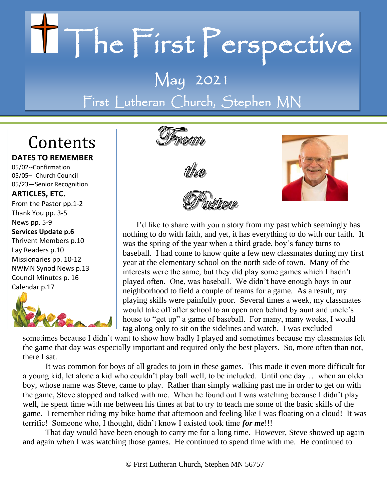# II The First Perspective

## May 2021 First Lutheran Church, Stephen MN

# Contents

#### **DATES TO REMEMBER**

05/02--Confirmation 05/05–- Church Council 05/23—Senior Recognition

#### **ARTICLES, ETC.**

From the Pastor pp.1-2 Thank You pp. 3-5 News pp. 5-9 **Services Update p.6** Thrivent Members p.10 Lay Readers p.10 Missionaries pp. 10-12 NWMN Synod News p.13 Council Minutes p. 16 Calendar p.17









I'd like to share with you a story from my past which seemingly has nothing to do with faith, and yet, it has everything to do with our faith. It was the spring of the year when a third grade, boy's fancy turns to baseball. I had come to know quite a few new classmates during my first year at the elementary school on the north side of town. Many of the interests were the same, but they did play some games which I hadn't played often. One, was baseball. We didn't have enough boys in our neighborhood to field a couple of teams for a game. As a result, my playing skills were painfully poor. Several times a week, my classmates would take off after school to an open area behind by aunt and uncle's house to "get up" a game of baseball. For many, many weeks, I would tag along only to sit on the sidelines and watch. I was excluded –

sometimes because I didn't want to show how badly I played and sometimes because my classmates felt the game that day was especially important and required only the best players. So, more often than not, there I sat.

It was common for boys of all grades to join in these games. This made it even more difficult for a young kid, let alone a kid who couldn't play ball well, to be included. Until one day… when an older boy, whose name was Steve, came to play. Rather than simply walking past me in order to get on with the game, Steve stopped and talked with me. When he found out I was watching because I didn't play well, he spent time with me between his times at bat to try to teach me some of the basic skills of the game. I remember riding my bike home that afternoon and feeling like I was floating on a cloud! It was terrific! Someone who, I thought, didn't know I existed took time *for me*!!!

That day would have been enough to carry me for a long time. However, Steve showed up again and again when I was watching those games. He continued to spend time with me. He continued to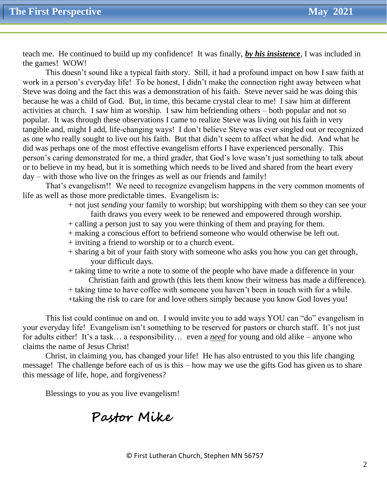teach me. He continued to build up my confidence! It was finally, *by his insistence*, I was included in the games! WOW!

This doesn't sound like a typical faith story. Still, it had a profound impact on how I saw faith at work in a person's everyday life! To be honest, I didn't make the connection right away between what Steve was doing and the fact this was a demonstration of his faith. Steve never said he was doing this because he was a child of God. But, in time, this became crystal clear to me! I saw him at different activities at church. I saw him at worship. I saw him befriending others – both popular and not so popular. It was through these observations I came to realize Steve was living out his faith in very tangible and, might I add, life-changing ways! I don't believe Steve was ever singled out or recognized as one who really sought to live out his faith. But that didn't seem to affect what he did. And what he did was perhaps one of the most effective evangelism efforts I have experienced personally. This person's caring demonstrated for me, a third grader, that God's love wasn't just something to talk about or to believe in my head, but it is something which needs to be lived and shared from the heart every day – with those who live on the fringes as well as our friends and family!

That's evangelism!! We need to recognize evangelism happens in the very common moments of life as well as those more predictable times. Evangelism is:

- + not just *sending* your family to worship; but worshipping with them so they can see your faith draws you every week to be renewed and empowered through worship.
- + calling a person just to say you were thinking of them and praying for them.
- + making a conscious effort to befriend someone who would otherwise be left out.
- + inviting a friend to worship or to a church event.
- + sharing a bit of your faith story with someone who asks you how you can get through, your difficult days.
- + taking time to write a note to some of the people who have made a difference in your Christian faith and growth (this lets them know their witness has made a difference).
- + taking time to have coffee with someone you haven't been in touch with for a while.
- +taking the risk to care for and love others simply because you know God loves you!

This list could continue on and on. I would invite you to add ways YOU can "do" evangelism in your everyday life! Evangelism isn't something to be reserved for pastors or church staff. It's not just for adults either! It's a task… a responsibility… even a *need* for young and old alike – anyone who claims the name of Jesus Christ!

Christ, in claiming you, has changed your life! He has also entrusted to you this life changing message! The challenge before each of us is this – how may we use the gifts God has given us to share this message of life, hope, and forgiveness?

Blessings to you as you live evangelism!

## **Pastor Mike**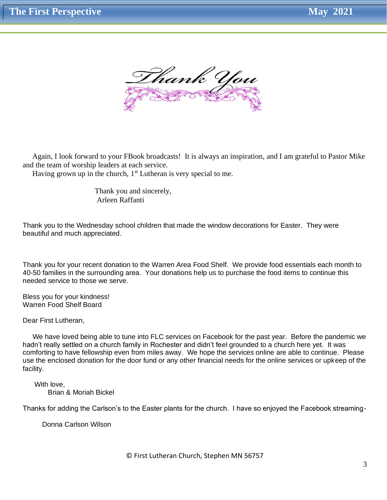

 Again, I look forward to your FBook broadcasts! It is always an inspiration, and I am grateful to Pastor Mike and the team of worship leaders at each service.

Having grown up in the church,  $1<sup>st</sup>$  Lutheran is very special to me.

 Thank you and sincerely, Arleen Raffanti

Thank you to the Wednesday school children that made the window decorations for Easter. They were beautiful and much appreciated.

Thank you for your recent donation to the Warren Area Food Shelf. We provide food essentials each month to 40-50 families in the surrounding area. Your donations help us to purchase the food items to continue this needed service to those we serve.

Bless you for your kindness! Warren Food Shelf Board

Dear First Lutheran,

 We have loved being able to tune into FLC services on Facebook for the past year. Before the pandemic we hadn't really settled on a church family in Rochester and didn't feel grounded to a church here yet. It was comforting to have fellowship even from miles away. We hope the services online are able to continue. Please use the enclosed donation for the door fund or any other financial needs for the online services or upkeep of the facility.

 With love, Brian & Moriah Bickel

Thanks for adding the Carlson's to the Easter plants for the church. I have so enjoyed the Facebook streaming-

Donna Carlson Wilson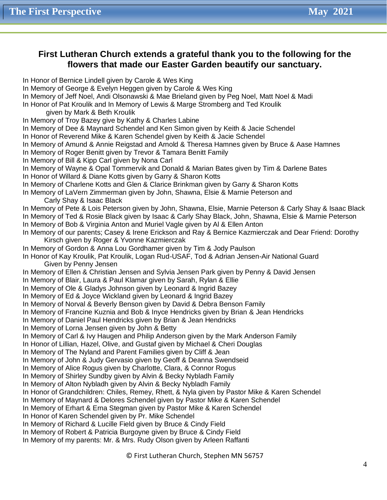#### **First Lutheran Church extends a grateful thank you to the following for the flowers that made our Easter Garden beautify our sanctuary.**

In Honor of Bernice Lindell given by Carole & Wes King In Memory of George & Evelyn Heggen given by Carole & Wes King In Memory of Jeff Noel, Andi Olsonawski & Mae Brieland given by Peg Noel, Matt Noel & Madi In Honor of Pat Kroulik and In Memory of Lewis & Marge Stromberg and Ted Kroulik given by Mark & Beth Kroulik In Memory of Troy Bazey give by Kathy & Charles Labine In Memory of Dee & Maynard Schendel and Ken Simon given by Keith & Jacie Schendel In Honor of Reverend Mike & Karen Schendel given by Keith & Jacie Schendel In Memory of Amund & Annie Reigstad and Arnold & Theresa Hamnes given by Bruce & Aase Hamnes In Memory of Roger Benitt given by Trevor & Tamara Benitt Family In Memory of Bill & Kipp Carl given by Nona Carl In Memory of Wayne & Opal Tommervik and Donald & Marian Bates given by Tim & Darlene Bates In Honor of Willard & Diane Kotts given by Garry & Sharon Kotts In Memory of Charlene Kotts and Glen & Clarice Brinkman given by Garry & Sharon Kotts In Memory of LaVern Zimmerman given by John, Shawna, Elsie & Marnie Peterson and Carly Shay & Isaac Black In Memory of Pete & Lois Peterson given by John, Shawna, Elsie, Marnie Peterson & Carly Shay & Isaac Black In Memory of Ted & Rosie Black given by Isaac & Carly Shay Black, John, Shawna, Elsie & Marnie Peterson In Memory of Bob & Virginia Anton and Muriel Vagle given by Al & Ellen Anton In Memory of our parents; Casey & Irene Erickson and Ray & Bernice Kazmierczak and Dear Friend: Dorothy Kirsch given by Roger & Yvonne Kazmierczak In Memory of Gordon & Anna Lou Gordhamer given by Tim & Jody Paulson In Honor of Kay Kroulik, Pat Kroulik, Logan Rud-USAF, Tod & Adrian Jensen-Air National Guard Given by Penny Jensen In Memory of Ellen & Christian Jensen and Sylvia Jensen Park given by Penny & David Jensen In Memory of Blair, Laura & Paul Klamar given by Sarah, Rylan & Ellie In Memory of Ole & Gladys Johnson given by Leonard & Ingrid Bazey In Memory of Ed & Joyce Wickland given by Leonard & Ingrid Bazey In Memory of Norval & Beverly Benson given by David & Debra Benson Family In Memory of Francine Kuznia and Bob & Inyce Hendricks given by Brian & Jean Hendricks In Memory of Daniel Paul Hendricks given by Brian & Jean Hendricks In Memory of Lorna Jensen given by John & Betty In Memory of Carl & Ivy Haugen and Philip Anderson given by the Mark Anderson Family In Honor of Lillian, Hazel, Olive, and Gustaf given by Michael & Cheri Douglas In Memory of The Nyland and Parent Families given by Cliff & Jean In Memory of John & Judy Gervasio given by Geoff & Deanna Swendseid In Memory of Alice Rogus given by Charlotte, Clara, & Connor Rogus In Memory of Shirley Sundby given by Alvin & Becky Nybladh Family In Memory of Alton Nybladh given by Alvin & Becky Nybladh Family In Honor of Grandchildren: Chiles, Remey, Rhett, & Nyla given by Pastor Mike & Karen Schendel In Memory of Maynard & Delores Schendel given by Pastor Mike & Karen Schendel In Memory of Erhart & Erna Stegman given by Pastor Mike & Karen Schendel In Honor of Karen Schendel given by Pr. Mike Schendel In Memory of Richard & Lucille Field given by Bruce & Cindy Field In Memory of Robert & Patricia Burgoyne given by Bruce & Cindy Field In Memory of my parents: Mr. & Mrs. Rudy Olson given by Arleen Raffanti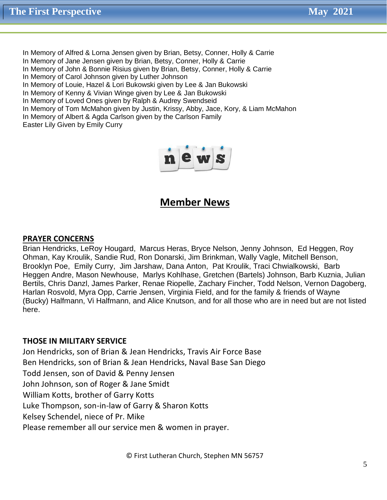In Memory of Alfred & Lorna Jensen given by Brian, Betsy, Conner, Holly & Carrie In Memory of Jane Jensen given by Brian, Betsy, Conner, Holly & Carrie In Memory of John & Bonnie Risius given by Brian, Betsy, Conner, Holly & Carrie In Memory of Carol Johnson given by Luther Johnson In Memory of Louie, Hazel & Lori Bukowski given by Lee & Jan Bukowski In Memory of Kenny & Vivian Winge given by Lee & Jan Bukowski In Memory of Loved Ones given by Ralph & Audrey Swendseid In Memory of Tom McMahon given by Justin, Krissy, Abby, Jace, Kory, & Liam McMahon In Memory of Albert & Agda Carlson given by the Carlson Family

Easter Lily Given by Emily Curry



#### **Member News**

#### **PRAYER CONCERNS**

Brian Hendricks, LeRoy Hougard, Marcus Heras, Bryce Nelson, Jenny Johnson, Ed Heggen, Roy Ohman, Kay Kroulik, Sandie Rud, Ron Donarski, Jim Brinkman, Wally Vagle, Mitchell Benson, Brooklyn Poe, Emily Curry, Jim Jarshaw, Dana Anton, Pat Kroulik, Traci Chwialkowski, Barb Heggen Andre, Mason Newhouse, Marlys Kohlhase, Gretchen (Bartels) Johnson, Barb Kuznia, Julian Bertils, Chris Danzl, James Parker, Renae Riopelle, Zachary Fincher, Todd Nelson, Vernon Dagoberg, Harlan Rosvold, Myra Opp, Carrie Jensen, Virginia Field, and for the family & friends of Wayne (Bucky) Halfmann, Vi Halfmann, and Alice Knutson, and for all those who are in need but are not listed here.

#### **THOSE IN MILITARY SERVICE**

Jon Hendricks, son of Brian & Jean Hendricks, Travis Air Force Base Ben Hendricks, son of Brian & Jean Hendricks, Naval Base San Diego Todd Jensen, son of David & Penny Jensen John Johnson, son of Roger & Jane Smidt William Kotts, brother of Garry Kotts Luke Thompson, son-in-law of Garry & Sharon Kotts Kelsey Schendel, niece of Pr. Mike Please remember all our service men & women in prayer.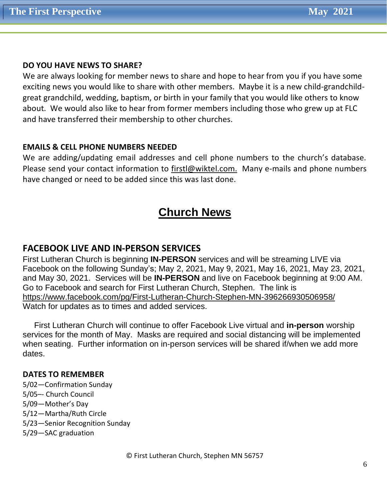#### **DO YOU HAVE NEWS TO SHARE?**

We are always looking for member news to share and hope to hear from you if you have some exciting news you would like to share with other members. Maybe it is a new child-grandchildgreat grandchild, wedding, baptism, or birth in your family that you would like others to know about. We would also like to hear from former members including those who grew up at FLC and have transferred their membership to other churches.

#### **EMAILS & CELL PHONE NUMBERS NEEDED**

We are adding/updating email addresses and cell phone numbers to the church's database. Please send your contact information to [firstl@wiktel.com.](mailto:firstl@wiktel.com) Many e-mails and phone numbers have changed or need to be added since this was last done.

## **Church News**

#### **FACEBOOK LIVE AND IN-PERSON SERVICES**

First Lutheran Church is beginning **IN-PERSON** services and will be streaming LIVE via Facebook on the following Sunday's; May 2, 2021, May 9, 2021, May 16, 2021, May 23, 2021, and May 30, 2021. Services will be **IN-PERSON** and live on Facebook beginning at 9:00 AM. Go to Facebook and search for First Lutheran Church, Stephen. The link is [https://www.facebook.com/pg/First-](https://www.facebook.com/pg/First)Lutheran-Church-Stephen-MN-396266930506958/ Watch for updates as to times and added services.

 First Lutheran Church will continue to offer Facebook Live virtual and **in-person** worship services for the month of May. Masks are required and social distancing will be implemented when seating. Further information on in-person services will be shared if/when we add more dates.

#### **DATES TO REMEMBER**

5/02—Confirmation Sunday 5/05–- Church Council 5/09—Mother's Day 5/12—Martha/Ruth Circle 5/23—Senior Recognition Sunday 5/29—SAC graduation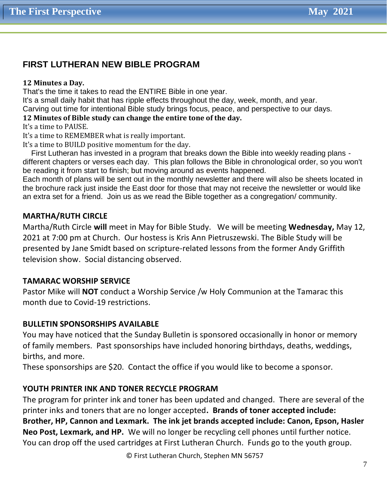#### **FIRST LUTHERAN NEW BIBLE PROGRAM**

#### **12 Minutes a Day.**

That's the time it takes to read the ENTIRE Bible in one year.

It's a small daily habit that has ripple effects throughout the day, week, month, and year.

Carving out time for intentional Bible study brings focus, peace, and perspective to our days.

#### **12 Minutes of Bible study can change the entire tone of the day.**

It's a time to PAUSE.

It's a time to REMEMBER what is really important.

It's a time to BUILD positive momentum for the day.

First Lutheran has invested in a program that breaks down the Bible into weekly reading plans different chapters or verses each day. This plan follows the Bible in chronological order, so you won't be reading it from start to finish; but moving around as events happened.

Each month of plans will be sent out in the monthly newsletter and there will also be sheets located in the brochure rack just inside the East door for those that may not receive the newsletter or would like an extra set for a friend. Join us as we read the Bible together as a congregation/ community.

#### **MARTHA/RUTH CIRCLE**

Martha/Ruth Circle **will** meet in May for Bible Study. We will be meeting **Wednesday,** May 12, 2021 at 7:00 pm at Church. Our hostess is Kris Ann Pietruszewski. The Bible Study will be presented by Jane Smidt based on scripture-related lessons from the former Andy Griffith television show. Social distancing observed.

#### **TAMARAC WORSHIP SERVICE**

Pastor Mike will **NOT** conduct a Worship Service /w Holy Communion at the Tamarac this month due to Covid-19 restrictions.

#### **BULLETIN SPONSORSHIPS AVAILABLE**

You may have noticed that the Sunday Bulletin is sponsored occasionally in honor or memory of family members. Past sponsorships have included honoring birthdays, deaths, weddings, births, and more.

These sponsorships are \$20. Contact the office if you would like to become a sponsor.

#### **YOUTH PRINTER INK AND TONER RECYCLE PROGRAM**

The program for printer ink and toner has been updated and changed. There are several of the printer inks and toners that are no longer accepted**. Brands of toner accepted include: Brother, HP, Cannon and Lexmark. The ink jet brands accepted include: Canon, Epson, Hasler Neo Post, Lexmark, and HP.** We will no longer be recycling cell phones until further notice. You can drop off the used cartridges at First Lutheran Church. Funds go to the youth group.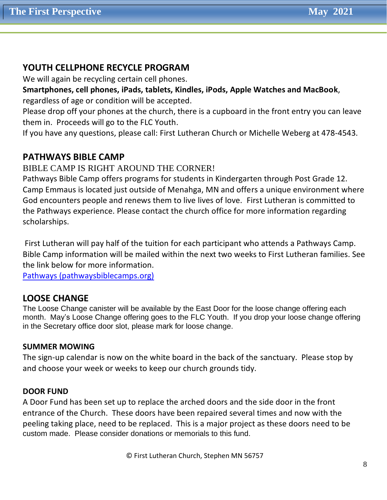#### **YOUTH CELLPHONE RECYCLE PROGRAM**

We will again be recycling certain cell phones.

**Smartphones, cell phones, iPads, tablets, Kindles, iPods, Apple Watches and MacBook**, regardless of age or condition will be accepted.

Please drop off your phones at the church, there is a cupboard in the front entry you can leave them in. Proceeds will go to the FLC Youth.

If you have any questions, please call: First Lutheran Church or Michelle Weberg at 478-4543.

#### **PATHWAYS BIBLE CAMP**

BIBLE CAMP IS RIGHT AROUND THE CORNER!

Pathways Bible Camp offers programs for students in Kindergarten through Post Grade 12. Camp Emmaus is located just outside of Menahga, MN and offers a unique environment where God encounters people and renews them to live lives of love. First Lutheran is committed to the Pathways experience. Please contact the church office for more information regarding scholarships.

First Lutheran will pay half of the tuition for each participant who attends a Pathways Camp. Bible Camp information will be mailed within the next two weeks to First Lutheran families. See the link below for more information.

Pathways [\(pathwaysbiblecamps.org\)](https://pathwaysbiblecamps.org/)

#### **LOOSE CHANGE**

The Loose Change canister will be available by the East Door for the loose change offering each month. May's Loose Change offering goes to the FLC Youth. If you drop your loose change offering in the Secretary office door slot, please mark for loose change.

#### **SUMMER MOWING**

The sign-up calendar is now on the white board in the back of the sanctuary. Please stop by and choose your week or weeks to keep our church grounds tidy.

#### **DOOR FUND**

A Door Fund has been set up to replace the arched doors and the side door in the front entrance of the Church. These doors have been repaired several times and now with the peeling taking place, need to be replaced. This is a major project as these doors need to be custom made. Please consider donations or memorials to this fund.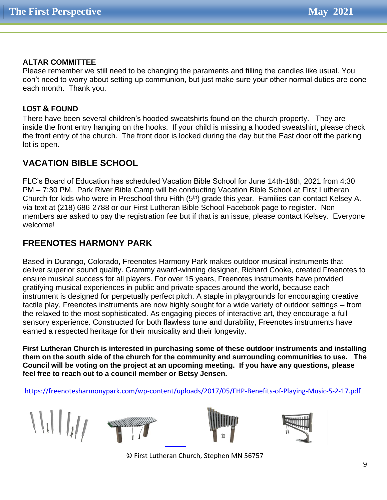#### **ALTAR COMMITTEE**

Please remember we still need to be changing the paraments and filling the candles like usual. You don't need to worry about setting up communion, but just make sure your other normal duties are done each month. Thank you.

#### **LOST & FOUND**

There have been several children's hooded sweatshirts found on the church property. They are inside the front entry hanging on the hooks. If your child is missing a hooded sweatshirt, please check the front entry of the church. The front door is locked during the day but the East door off the parking lot is open.

#### **VACATION BIBLE SCHOOL**

FLC's Board of Education has scheduled Vacation Bible School for June 14th-16th, 2021 from 4:30 PM – 7:30 PM. Park River Bible Camp will be conducting Vacation Bible School at First Lutheran Church for kids who were in Preschool thru Fifth (5<sup>th</sup>) grade this year. Families can contact Kelsey A. via text at (218) 686-2788 or our First Lutheran Bible School Facebook page to register. Nonmembers are asked to pay the registration fee but if that is an issue, please contact Kelsey. Everyone welcome!

#### **FREENOTES HARMONY PARK**

Based in Durango, Colorado, Freenotes Harmony Park makes outdoor musical instruments that deliver superior sound quality. Grammy award-winning designer, Richard Cooke, created Freenotes to ensure musical success for all players. For over 15 years, Freenotes instruments have provided gratifying musical experiences in public and private spaces around the world, because each instrument is designed for perpetually perfect pitch. A staple in playgrounds for encouraging creative tactile play, Freenotes instruments are now highly sought for a wide variety of outdoor settings – from the relaxed to the most sophisticated. As engaging pieces of interactive art, they encourage a full sensory experience. Constructed for both flawless tune and durability, Freenotes instruments have earned a respected heritage for their musicality and their longevity.

**First Lutheran Church is interested in purchasing some of these outdoor instruments and installing them on the south side of the church for the community and surrounding communities to use. The Council will be voting on the project at an upcoming meeting. If you have any questions, please feel free to reach out to a council member or Betsy Jensen.**

<https://freenotesharmonypark.com/wp-content/uploads/2017/05/FHP-Benefits-of-Playing-Music-5-2-17.pdf>

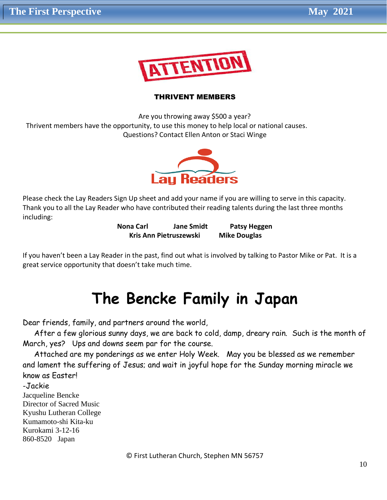

#### THRIVENT MEMBERS

Are you throwing away \$500 a year? Thrivent members have the opportunity, to use this money to help local or national causes. Questions? Contact Ellen Anton or Staci Winge



Please check the Lay Readers Sign Up sheet and add your name if you are willing to serve in this capacity. Thank you to all the Lay Reader who have contributed their reading talents during the last three months including:

> **Nona Carl Jane Smidt Patsy Heggen Kris Ann Pietruszewski Mike Douglas**

If you haven't been a Lay Reader in the past, find out what is involved by talking to Pastor Mike or Pat. It is a great service opportunity that doesn't take much time.

## **The Bencke Family in Japan**

Dear friends, family, and partners around the world,

 After a few glorious sunny days, we are back to cold, damp, dreary rain. Such is the month of March, yes? Ups and downs seem par for the course.

 Attached are my ponderings as we enter Holy Week. May you be blessed as we remember and lament the suffering of Jesus; and wait in joyful hope for the Sunday morning miracle we know as Easter!

-Jackie Jacqueline Bencke Director of Sacred Music Kyushu Lutheran College Kumamoto-shi Kita-ku Kurokami 3-12-16 860-8520 Japan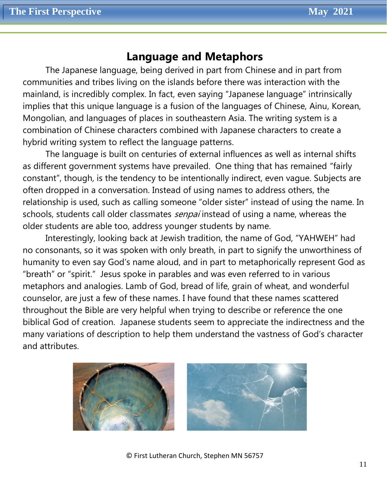### **Language and Metaphors**

The Japanese language, being derived in part from Chinese and in part from communities and tribes living on the islands before there was interaction with the mainland, is incredibly complex. In fact, even saying "Japanese language" intrinsically implies that this unique language is a fusion of the languages of Chinese, Ainu, Korean, Mongolian, and languages of places in southeastern Asia. The writing system is a combination of Chinese characters combined with Japanese characters to create a hybrid writing system to reflect the language patterns.

The language is built on centuries of external influences as well as internal shifts as different government systems have prevailed. One thing that has remained "fairly constant", though, is the tendency to be intentionally indirect, even vague. Subjects are often dropped in a conversation. Instead of using names to address others, the relationship is used, such as calling someone "older sister" instead of using the name. In schools, students call older classmates *senpai* instead of using a name, whereas the older students are able too, address younger students by name.

Interestingly, looking back at Jewish tradition, the name of God, "YAHWEH" had no consonants, so it was spoken with only breath, in part to signify the unworthiness of humanity to even say God's name aloud, and in part to metaphorically represent God as "breath" or "spirit." Jesus spoke in parables and was even referred to in various metaphors and analogies. Lamb of God, bread of life, grain of wheat, and wonderful counselor, are just a few of these names. I have found that these names scattered throughout the Bible are very helpful when trying to describe or reference the one biblical God of creation. Japanese students seem to appreciate the indirectness and the many variations of description to help them understand the vastness of God's character and attributes.

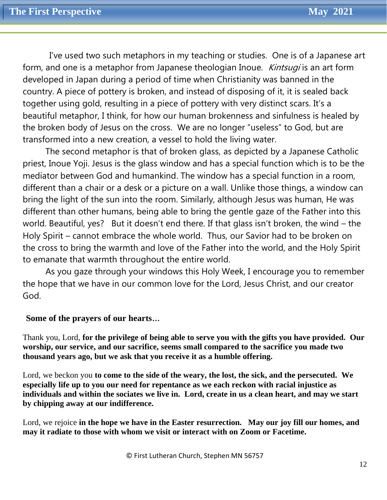I've used two such metaphors in my teaching or studies. One is of a Japanese art form, and one is a metaphor from Japanese theologian Inoue. *Kintsugi* is an art form developed in Japan during a period of time when Christianity was banned in the country. A piece of pottery is broken, and instead of disposing of it, it is sealed back together using gold, resulting in a piece of pottery with very distinct scars. It's a beautiful metaphor, I think, for how our human brokenness and sinfulness is healed by the broken body of Jesus on the cross. We are no longer "useless" to God, but are transformed into a new creation, a vessel to hold the living water.

The second metaphor is that of broken glass, as depicted by a Japanese Catholic priest, Inoue Yoji. Jesus is the glass window and has a special function which is to be the mediator between God and humankind. The window has a special function in a room, different than a chair or a desk or a picture on a wall. Unlike those things, a window can bring the light of the sun into the room. Similarly, although Jesus was human, He was different than other humans, being able to bring the gentle gaze of the Father into this world. Beautiful, yes? But it doesn't end there. If that glass isn't broken, the wind – the Holy Spirit – cannot embrace the whole world. Thus, our Savior had to be broken on the cross to bring the warmth and love of the Father into the world, and the Holy Spirit to emanate that warmth throughout the entire world.

As you gaze through your windows this Holy Week, I encourage you to remember the hope that we have in our common love for the Lord, Jesus Christ, and our creator God.

#### **Some of the prayers of our hearts…**

Thank you, Lord, **for the privilege of being able to serve you with the gifts you have provided. Our worship, our service, and our sacrifice, seems small compared to the sacrifice you made two thousand years ago, but we ask that you receive it as a humble offering.**

Lord, we beckon you **to come to the side of the weary, the lost, the sick, and the persecuted. We especially life up to you our need for repentance as we each reckon with racial injustice as individuals and within the sociates we live in. Lord, create in us a clean heart, and may we start by chipping away at our indifference.**

Lord, we rejoice **in the hope we have in the Easter resurrection. May our joy fill our homes, and may it radiate to those with whom we visit or interact with on Zoom or Facetime.**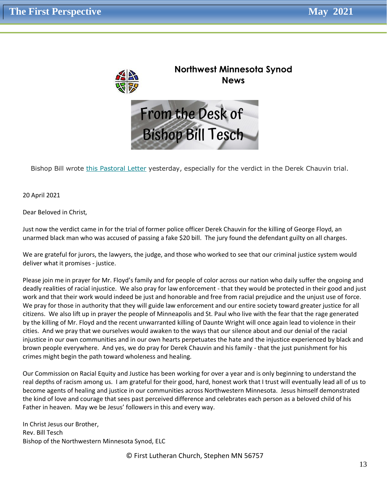

Bishop Bill wrote [this Pastoral Letter](https://nwmnsynod.us19.list-manage.com/track/click?u=f52e21d74e22a27bb1c260f9d&id=82d2b64c8e&e=4e15ae44c5) yesterday, especially for the verdict in the Derek Chauvin trial.

20 April 2021

Dear Beloved in Christ,

Just now the verdict came in for the trial of former police officer Derek Chauvin for the killing of George Floyd, an unarmed black man who was accused of passing a fake \$20 bill. The jury found the defendant guilty on all charges.

We are grateful for jurors, the lawyers, the judge, and those who worked to see that our criminal justice system would deliver what it promises - justice.

Please join me in prayer for Mr. Floyd's family and for people of color across our nation who daily suffer the ongoing and deadly realities of racial injustice. We also pray for law enforcement - that they would be protected in their good and just work and that their work would indeed be just and honorable and free from racial prejudice and the unjust use of force. We pray for those in authority that they will guide law enforcement and our entire society toward greater justice for all citizens. We also lift up in prayer the people of Minneapolis and St. Paul who live with the fear that the rage generated by the killing of Mr. Floyd and the recent unwarranted killing of Daunte Wright will once again lead to violence in their cities. And we pray that we ourselves would awaken to the ways that our silence about and our denial of the racial injustice in our own communities and in our own hearts perpetuates the hate and the injustice experienced by black and brown people everywhere. And yes, we do pray for Derek Chauvin and his family - that the just punishment for his crimes might begin the path toward wholeness and healing.

Our Commission on Racial Equity and Justice has been working for over a year and is only beginning to understand the real depths of racism among us. I am grateful for their good, hard, honest work that I trust will eventually lead all of us to become agents of healing and justice in our communities across Northwestern Minnesota. Jesus himself demonstrated the kind of love and courage that sees past perceived difference and celebrates each person as a beloved child of his Father in heaven. May we be Jesus' followers in this and every way.

In Christ Jesus our Brother, Rev. Bill Tesch Bishop of the Northwestern Minnesota Synod, ELC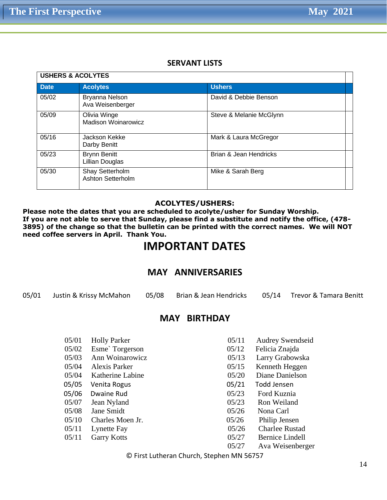#### **SERVANT LISTS**

| <b>USHERS &amp; ACOLYTES</b> |                                            |                         |  |  |
|------------------------------|--------------------------------------------|-------------------------|--|--|
| <b>Date</b>                  | <b>Acolytes</b>                            | <b>Ushers</b>           |  |  |
| 05/02                        | Bryanna Nelson<br>Ava Weisenberger         | David & Debbie Benson   |  |  |
| 05/09                        | Olivia Winge<br><b>Madison Woinarowicz</b> | Steve & Melanie McGlynn |  |  |
| 05/16                        | Jackson Kekke<br>Darby Benitt              | Mark & Laura McGregor   |  |  |
| 05/23                        | <b>Brynn Benitt</b><br>Lillian Douglas     | Brian & Jean Hendricks  |  |  |
| 05/30                        | Shay Setterholm<br>Ashton Setterholm       | Mike & Sarah Berg       |  |  |

#### **ACOLYTES/USHERS:**

**Please note the dates that you are scheduled to acolyte/usher for Sunday Worship. If you are not able to serve that Sunday, please find a substitute and notify the office, (478- 3895) of the change so that the bulletin can be printed with the correct names. We will NOT need coffee servers in April. Thank You.**

#### **IMPORTANT DATES**

#### **MAY ANNIVERSARIES**

05/01 Justin & Krissy McMahon 05/08 Brian & Jean Hendricks 05/14 Trevor & Tamara Benitt

#### **MAY BIRTHDAY**

| 05/01 | <b>Holly Parker</b> | 05/11 | <b>Audrey Swendseid</b> |
|-------|---------------------|-------|-------------------------|
| 05/02 | Esme' Torgerson     | 05/12 | Felicia Znajda          |
| 05/03 | Ann Woinarowicz     | 05/13 | Larry Grabowska         |
| 05/04 | Alexis Parker       | 05/15 | Kenneth Heggen          |
| 05/04 | Katherine Labine    | 05/20 | Diane Danielson         |
| 05/05 | Venita Rogus        | 05/21 | Todd Jensen             |
| 05/06 | Dwaine Rud          | 05/23 | Ford Kuznia             |
| 05/07 | Jean Nyland         | 05/23 | Ron Weiland             |
| 05/08 | Jane Smidt          | 05/26 | Nona Carl               |
| 05/10 | Charles Moen Jr.    | 05/26 | Philip Jensen           |
| 05/11 | Lynette Fay         | 05/26 | <b>Charlee Rustad</b>   |
| 05/11 | <b>Garry Kotts</b>  | 05/27 | <b>Bernice Lindell</b>  |
|       |                     | 05/27 | Ava Weisenberger        |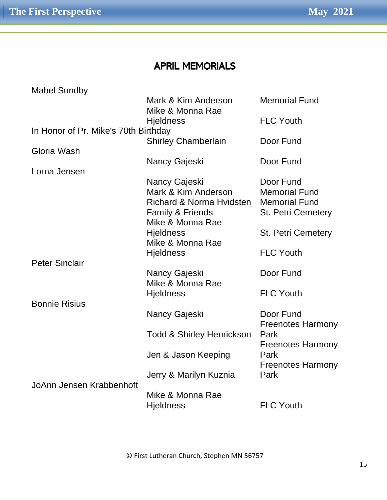## APRIL MEMORIALS

| <b>Mabel Sundby</b>                  |                                                                                                          |                                                                                        |  |  |
|--------------------------------------|----------------------------------------------------------------------------------------------------------|----------------------------------------------------------------------------------------|--|--|
|                                      | Mark & Kim Anderson<br>Mike & Monna Rae                                                                  | <b>Memorial Fund</b>                                                                   |  |  |
|                                      | <b>Hjeldness</b>                                                                                         | <b>FLC Youth</b>                                                                       |  |  |
| In Honor of Pr. Mike's 70th Birthday |                                                                                                          |                                                                                        |  |  |
|                                      | <b>Shirley Chamberlain</b>                                                                               | Door Fund                                                                              |  |  |
| Gloria Wash                          |                                                                                                          |                                                                                        |  |  |
|                                      | Nancy Gajeski                                                                                            | Door Fund                                                                              |  |  |
| Lorna Jensen                         |                                                                                                          |                                                                                        |  |  |
|                                      | Nancy Gajeski<br>Mark & Kim Anderson<br>Richard & Norma Hvidsten<br>Family & Friends<br>Mike & Monna Rae | Door Fund<br><b>Memorial Fund</b><br><b>Memorial Fund</b><br><b>St. Petri Cemetery</b> |  |  |
|                                      | <b>Hjeldness</b>                                                                                         | <b>St. Petri Cemetery</b>                                                              |  |  |
|                                      | Mike & Monna Rae<br><b>Hjeldness</b>                                                                     | <b>FLC Youth</b>                                                                       |  |  |
| <b>Peter Sinclair</b>                |                                                                                                          |                                                                                        |  |  |
|                                      | Nancy Gajeski                                                                                            | Door Fund                                                                              |  |  |
|                                      | Mike & Monna Rae<br><b>Hjeldness</b>                                                                     | <b>FLC Youth</b>                                                                       |  |  |
| <b>Bonnie Risius</b>                 |                                                                                                          |                                                                                        |  |  |
|                                      | Nancy Gajeski                                                                                            | Door Fund<br><b>Freenotes Harmony</b>                                                  |  |  |
|                                      | <b>Todd &amp; Shirley Henrickson</b>                                                                     | Park<br><b>Freenotes Harmony</b>                                                       |  |  |
|                                      | Jen & Jason Keeping                                                                                      | Park<br><b>Freenotes Harmony</b><br>Park                                               |  |  |
| JoAnn Jensen Krabbenhoft             | Jerry & Marilyn Kuznia                                                                                   |                                                                                        |  |  |
|                                      | Mike & Monna Rae<br><b>Hjeldness</b>                                                                     | <b>FLC Youth</b>                                                                       |  |  |
|                                      |                                                                                                          |                                                                                        |  |  |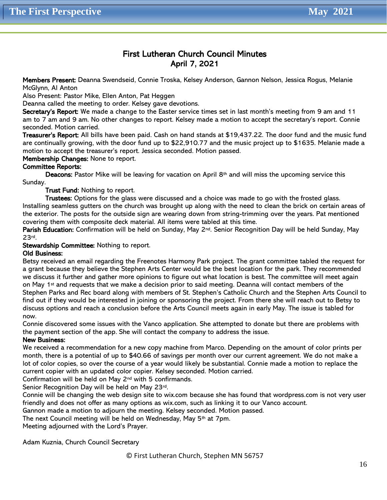#### First Lutheran Church Council Minutes April 7, 2021

Members Present: Deanna Swendseid, Connie Troska, Kelsey Anderson, Gannon Nelson, Jessica Rogus, Melanie McGlynn, Al Anton

Also Present: Pastor Mike, Ellen Anton, Pat Heggen

Deanna called the meeting to order. Kelsey gave devotions.

Secretary's Report: We made a change to the Easter service times set in last month's meeting from 9 am and 11 am to 7 am and 9 am. No other changes to report. Kelsey made a motion to accept the secretary's report. Connie seconded. Motion carried.

Treasurer's Report: All bills have been paid. Cash on hand stands at \$19,437.22. The door fund and the music fund are continually growing, with the door fund up to \$22,910.77 and the music project up to \$1635. Melanie made a motion to accept the treasurer's report. Jessica seconded. Motion passed.

Membership Changes: None to report.

#### Committee Reports:

Deacons: Pastor Mike will be leaving for vacation on April 8<sup>th</sup> and will miss the upcoming service this Sunday.

Trust Fund: Nothing to report.

Trustees: Options for the glass were discussed and a choice was made to go with the frosted glass. Installing seamless gutters on the church was brought up along with the need to clean the brick on certain areas of the exterior. The posts for the outside sign are wearing down from string-trimming over the years. Pat mentioned covering them with composite deck material. All items were tabled at this time.

Parish Education: Confirmation will be held on Sunday, May 2<sup>nd</sup>. Senior Recognition Day will be held Sunday, May 23rd.

Stewardship Committee: Nothing to report.

#### Old Business:

Betsy received an email regarding the Freenotes Harmony Park project. The grant committee tabled the request for a grant because they believe the Stephen Arts Center would be the best location for the park. They recommended we discuss it further and gather more opinions to figure out what location is best. The committee will meet again on May 1<sup>st</sup> and requests that we make a decision prior to said meeting. Deanna will contact members of the Stephen Parks and Rec board along with members of St. Stephen's Catholic Church and the Stephen Arts Council to find out if they would be interested in joining or sponsoring the project. From there she will reach out to Betsy to discuss options and reach a conclusion before the Arts Council meets again in early May. The issue is tabled for now.

Connie discovered some issues with the Vanco application. She attempted to donate but there are problems with the payment section of the app. She will contact the company to address the issue.

#### New Business:

We received a recommendation for a new copy machine from Marco. Depending on the amount of color prints per month, there is a potential of up to \$40.66 of savings per month over our current agreement. We do not make a lot of color copies, so over the course of a year would likely be substantial. Connie made a motion to replace the current copier with an updated color copier. Kelsey seconded. Motion carried.

Confirmation will be held on May 2nd with 5 confirmands.

Senior Recognition Day will be held on May 23rd.

Connie will be changing the web design site to wix.com because she has found that wordpress.com is not very user friendly and does not offer as many options as wix.com, such as linking it to our Vanco account.

Gannon made a motion to adjourn the meeting. Kelsey seconded. Motion passed.

The next Council meeting will be held on Wednesday, May 5th at 7pm.

Meeting adjourned with the Lord's Prayer.

Adam Kuznia, Church Council Secretary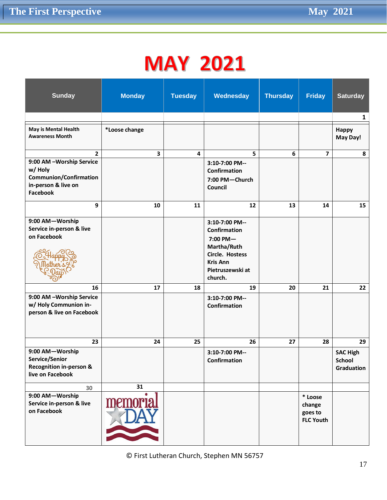# **MAY 2021**

| <b>Sunday</b>                                                                                                                                      | <b>Monday</b>           | <b>Tuesday</b> | Wednesday                                                                                                                                                                                 | <b>Thursday</b>  | <b>Friday</b>                                    | <b>Saturday</b>                                |
|----------------------------------------------------------------------------------------------------------------------------------------------------|-------------------------|----------------|-------------------------------------------------------------------------------------------------------------------------------------------------------------------------------------------|------------------|--------------------------------------------------|------------------------------------------------|
|                                                                                                                                                    |                         |                |                                                                                                                                                                                           |                  |                                                  | 1                                              |
| May is Mental Health<br><b>Awareness Month</b>                                                                                                     | *Loose change           |                |                                                                                                                                                                                           |                  |                                                  | <b>Happy</b><br>May Day!                       |
| $\overline{2}$                                                                                                                                     | $\overline{\mathbf{3}}$ | 4              | 5                                                                                                                                                                                         | $\boldsymbol{6}$ | $\overline{7}$                                   | 8                                              |
| 9:00 AM -Worship Service<br>w/ Holy<br><b>Communion/Confirmation</b><br>in-person & live on<br><b>Facebook</b>                                     |                         |                | 3:10-7:00 PM--<br>Confirmation<br>7:00 PM-Church<br>Council                                                                                                                               |                  |                                                  |                                                |
| 9                                                                                                                                                  | 10                      | 11             | 12                                                                                                                                                                                        | 13               | 14                                               | 15                                             |
| 9:00 AM-Worship<br>Service in-person & live<br>on Facebook<br>16<br>9:00 AM -Worship Service<br>w/ Holy Communion in-<br>person & live on Facebook | 17                      | 18             | 3:10-7:00 PM--<br><b>Confirmation</b><br>$7:00$ PM $-$<br>Martha/Ruth<br>Circle. Hostess<br><b>Kris Ann</b><br>Pietruszewski at<br>church.<br>19<br>3:10-7:00 PM--<br><b>Confirmation</b> | 20               | 21                                               | 22                                             |
| 23                                                                                                                                                 | 24                      | 25             | 26                                                                                                                                                                                        | 27               | 28                                               | 29                                             |
| 9:00 AM-Worship<br>Service/Senior<br><b>Recognition in-person &amp;</b><br>live on Facebook                                                        |                         |                | 3:10-7:00 PM--<br>Confirmation                                                                                                                                                            |                  |                                                  | <b>SAC High</b><br><b>School</b><br>Graduation |
| 30                                                                                                                                                 | 31                      |                |                                                                                                                                                                                           |                  |                                                  |                                                |
| 9:00 AM-Worship<br>Service in-person & live<br>on Facebook                                                                                         | memoria.                |                |                                                                                                                                                                                           |                  | * Loose<br>change<br>goes to<br><b>FLC Youth</b> |                                                |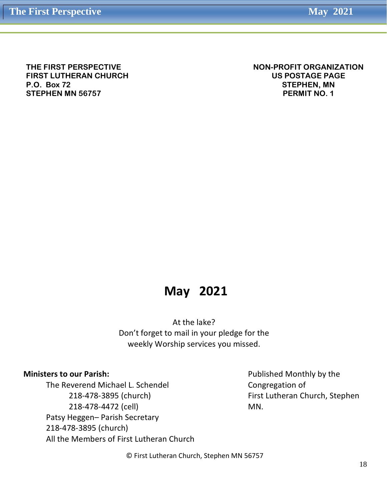**THE FIRST PERSPECTIVE FIRST LUTHERAN CHURCH P.O. Box 72 STEPHEN MN 56757**

**NON-PROFIT ORGANIZATION US POSTAGE PAGE STEPHEN, MN PERMIT NO. 1**

## **May 2021**

At the lake? Don't forget to mail in your pledge for the weekly Worship services you missed.

#### **Ministers to our Parish:**

The Reverend Michael L. Schendel 218-478-3895 (church) 218-478-4472 (cell) Patsy Heggen– Parish Secretary 218-478-3895 (church) All the Members of First Lutheran Church

Published Monthly by the Congregation of First Lutheran Church, Stephen MN.